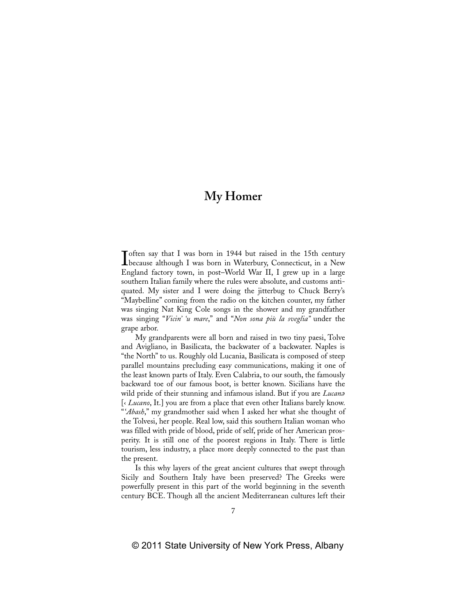# **My Homer**

Toften say that I was born in 1944 but raised in the 15th century<br>because although I was born in Waterbury, Connecticut, in a New because although I was born in Waterbury, Connecticut, in a New England factory town, in post–World War II, I grew up in a large southern Italian family where the rules were absolute, and customs antiquated. My sister and I were doing the jitterbug to Chuck Berry's "Maybelline" coming from the radio on the kitchen counter, my father was singing Nat King Cole songs in the shower and my grandfather was singing "*Vicin' 'u mare*," and "*Non sona più la sveglia"* under the grape arbor.

My grandparents were all born and raised in two tiny paesi, Tolve and Avigliano, in Basilicata, the backwater of a backwater. Naples is "the North" to us. Roughly old Lucania, Basilicata is composed of steep parallel mountains precluding easy communications, making it one of the least known parts of Italy. Even Calabria, to our south, the famously backward toe of our famous boot, is better known. Sicilians have the wild pride of their stunning and infamous island. But if you are *Lucanə* [‹ *Lucano*, It.] you are from a place that even other Italians barely know. " '*Abash*," my grandmother said when I asked her what she thought of the Tolvesi, her people. Real low, said this southern Italian woman who was filled with pride of blood, pride of self, pride of her American prosperity. It is still one of the poorest regions in Italy. There is little tourism, less industry, a place more deeply connected to the past than the present.

Is this why layers of the great ancient cultures that swept through Sicily and Southern Italy have been preserved? The Greeks were powerfully present in this part of the world beginning in the seventh century BCE. Though all the ancient Mediterranean cultures left their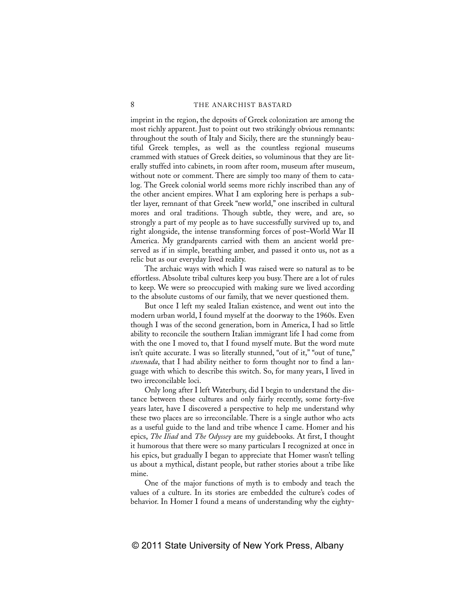imprint in the region, the deposits of Greek colonization are among the most richly apparent. Just to point out two strikingly obvious remnants: throughout the south of Italy and Sicily, there are the stunningly beautiful Greek temples, as well as the countless regional museums crammed with statues of Greek deities, so voluminous that they are literally stuffed into cabinets, in room after room, museum after museum, without note or comment. There are simply too many of them to catalog. The Greek colonial world seems more richly inscribed than any of the other ancient empires. What I am exploring here is perhaps a subtler layer, remnant of that Greek "new world," one inscribed in cultural mores and oral traditions. Though subtle, they were, and are, so strongly a part of my people as to have successfully survived up to, and right alongside, the intense transforming forces of post–World War II America. My grandparents carried with them an ancient world preserved as if in simple, breathing amber, and passed it onto us, not as a relic but as our everyday lived reality.

The archaic ways with which I was raised were so natural as to be effortless. Absolute tribal cultures keep you busy. There are a lot of rules to keep. We were so preoccupied with making sure we lived according to the absolute customs of our family, that we never questioned them.

But once I left my sealed Italian existence, and went out into the modern urban world, I found myself at the doorway to the 1960s. Even though I was of the second generation, born in America, I had so little ability to reconcile the southern Italian immigrant life I had come from with the one I moved to, that I found myself mute. But the word mute isn't quite accurate. I was so literally stunned, "out of it," "out of tune," *stunnada*, that I had ability neither to form thought nor to find a language with which to describe this switch. So, for many years, I lived in two irreconcilable loci.

Only long after I left Waterbury, did I begin to understand the distance between these cultures and only fairly recently, some forty-five years later, have I discovered a perspective to help me understand why these two places are so irreconcilable. There is a single author who acts as a useful guide to the land and tribe whence I came. Homer and his epics, *The Iliad* and *The Odyssey* are my guidebooks. At first, I thought it humorous that there were so many particulars I recognized at once in his epics, but gradually I began to appreciate that Homer wasn't telling us about a mythical, distant people, but rather stories about a tribe like mine.

One of the major functions of myth is to embody and teach the values of a culture. In its stories are embedded the culture's codes of behavior. In Homer I found a means of understanding why the eighty-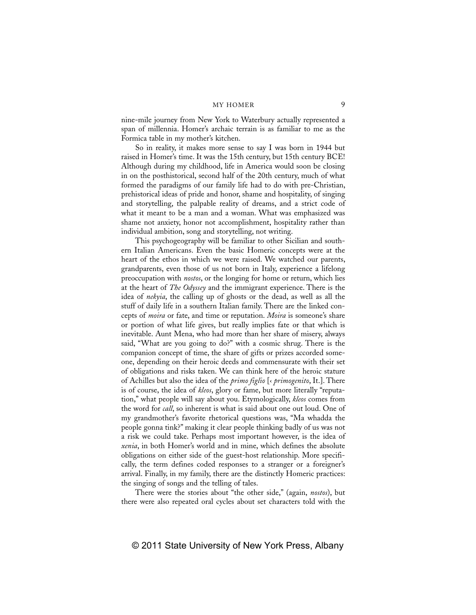nine-mile journey from New York to Waterbury actually represented a span of millennia. Homer's archaic terrain is as familiar to me as the Formica table in my mother's kitchen.

So in reality, it makes more sense to say I was born in 1944 but raised in Homer's time. It was the 15th century, but 15th century BCE! Although during my childhood, life in America would soon be closing in on the posthistorical, second half of the 20th century, much of what formed the paradigms of our family life had to do with pre-Christian, prehistorical ideas of pride and honor, shame and hospitality, of singing and storytelling, the palpable reality of dreams, and a strict code of what it meant to be a man and a woman. What was emphasized was shame not anxiety, honor not accomplishment, hospitality rather than individual ambition, song and storytelling, not writing.

This psychogeography will be familiar to other Sicilian and southern Italian Americans. Even the basic Homeric concepts were at the heart of the ethos in which we were raised. We watched our parents, grandparents, even those of us not born in Italy, experience a lifelong preoccupation with *nostos*, or the longing for home or return, which lies at the heart of *The Odyssey* and the immigrant experience. There is the idea of *nekyia*, the calling up of ghosts or the dead, as well as all the stuff of daily life in a southern Italian family. There are the linked concepts of *moira* or fate, and time or reputation. *Moira* is someone's share or portion of what life gives, but really implies fate or that which is inevitable. Aunt Mena, who had more than her share of misery, always said, "What are you going to do?" with a cosmic shrug. There is the companion concept of time, the share of gifts or prizes accorded someone, depending on their heroic deeds and commensurate with their set of obligations and risks taken. We can think here of the heroic stature of Achilles but also the idea of the *primo figlio* [‹ *primogenito*, It.]. There is of course, the idea of *kleos*, glory or fame, but more literally "reputation," what people will say about you. Etymologically, *kleos* comes from the word for *call*, so inherent is what is said about one out loud. One of my grandmother's favorite rhetorical questions was, "Ma whadda the people gonna tink?" making it clear people thinking badly of us was not a risk we could take. Perhaps most important however, is the idea of *xenia*, in both Homer's world and in mine, which defines the absolute obligations on either side of the guest-host relationship. More specifically, the term defines coded responses to a stranger or a foreigner's arrival. Finally, in my family, there are the distinctly Homeric practices: the singing of songs and the telling of tales.

There were the stories about "the other side," (again, *nostos*), but there were also repeated oral cycles about set characters told with the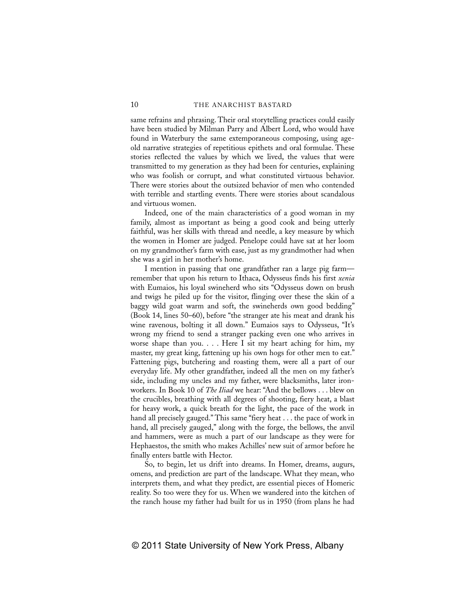same refrains and phrasing. Their oral storytelling practices could easily have been studied by Milman Parry and Albert Lord, who would have found in Waterbury the same extemporaneous composing, using ageold narrative strategies of repetitious epithets and oral formulae. These stories reflected the values by which we lived, the values that were transmitted to my generation as they had been for centuries, explaining who was foolish or corrupt, and what constituted virtuous behavior. There were stories about the outsized behavior of men who contended with terrible and startling events. There were stories about scandalous and virtuous women.

Indeed, one of the main characteristics of a good woman in my family, almost as important as being a good cook and being utterly faithful, was her skills with thread and needle, a key measure by which the women in Homer are judged. Penelope could have sat at her loom on my grandmother's farm with ease, just as my grandmother had when she was a girl in her mother's home.

I mention in passing that one grandfather ran a large pig farm remember that upon his return to Ithaca, Odysseus finds his first *xenia* with Eumaios, his loyal swineherd who sits "Odysseus down on brush and twigs he piled up for the visitor, flinging over these the skin of a baggy wild goat warm and soft, the swineherds own good bedding" (Book 14, lines 50–60), before "the stranger ate his meat and drank his wine ravenous, bolting it all down." Eumaios says to Odysseus, "It's wrong my friend to send a stranger packing even one who arrives in worse shape than you. . . . Here I sit my heart aching for him, my master, my great king, fattening up his own hogs for other men to eat." Fattening pigs, butchering and roasting them, were all a part of our everyday life. My other grandfather, indeed all the men on my father's side, including my uncles and my father, were blacksmiths, later ironworkers. In Book 10 of *The Iliad* we hear: "And the bellows . . . blew on the crucibles, breathing with all degrees of shooting, fiery heat, a blast for heavy work, a quick breath for the light, the pace of the work in hand all precisely gauged." This same "fiery heat . . . the pace of work in hand, all precisely gauged," along with the forge, the bellows, the anvil and hammers, were as much a part of our landscape as they were for Hephaestos, the smith who makes Achilles' new suit of armor before he finally enters battle with Hector.

So, to begin, let us drift into dreams. In Homer, dreams, augurs, omens, and prediction are part of the landscape. What they mean, who interprets them, and what they predict, are essential pieces of Homeric reality. So too were they for us. When we wandered into the kitchen of the ranch house my father had built for us in 1950 (from plans he had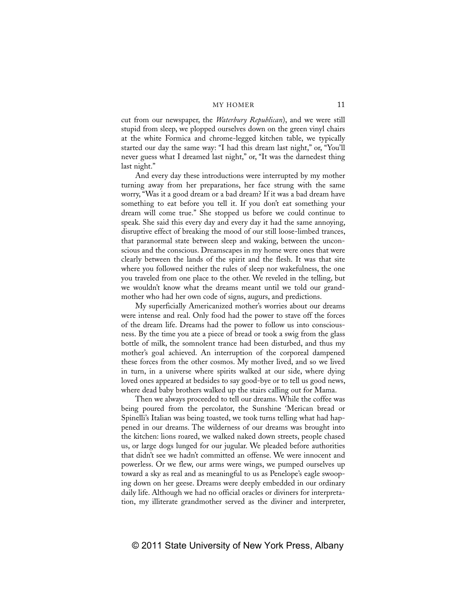cut from our newspaper, the *Waterbury Republican*), and we were still stupid from sleep, we plopped ourselves down on the green vinyl chairs at the white Formica and chrome-legged kitchen table, we typically started our day the same way: "I had this dream last night," or, "You'll never guess what I dreamed last night," or, "It was the darnedest thing last night."

And every day these introductions were interrupted by my mother turning away from her preparations, her face strung with the same worry, "Was it a good dream or a bad dream? If it was a bad dream have something to eat before you tell it. If you don't eat something your dream will come true." She stopped us before we could continue to speak. She said this every day and every day it had the same annoying, disruptive effect of breaking the mood of our still loose-limbed trances, that paranormal state between sleep and waking, between the unconscious and the conscious. Dreamscapes in my home were ones that were clearly between the lands of the spirit and the flesh. It was that site where you followed neither the rules of sleep nor wakefulness, the one you traveled from one place to the other. We reveled in the telling, but we wouldn't know what the dreams meant until we told our grandmother who had her own code of signs, augurs, and predictions.

My superficially Americanized mother's worries about our dreams were intense and real. Only food had the power to stave off the forces of the dream life. Dreams had the power to follow us into consciousness. By the time you ate a piece of bread or took a swig from the glass bottle of milk, the somnolent trance had been disturbed, and thus my mother's goal achieved. An interruption of the corporeal dampened these forces from the other cosmos. My mother lived, and so we lived in turn, in a universe where spirits walked at our side, where dying loved ones appeared at bedsides to say good-bye or to tell us good news, where dead baby brothers walked up the stairs calling out for Mama.

Then we always proceeded to tell our dreams. While the coffee was being poured from the percolator, the Sunshine 'Merican bread or Spinelli's Italian was being toasted, we took turns telling what had happened in our dreams. The wilderness of our dreams was brought into the kitchen: lions roared, we walked naked down streets, people chased us, or large dogs lunged for our jugular. We pleaded before authorities that didn't see we hadn't committed an offense. We were innocent and powerless. Or we flew, our arms were wings, we pumped ourselves up toward a sky as real and as meaningful to us as Penelope's eagle swooping down on her geese. Dreams were deeply embedded in our ordinary daily life. Although we had no official oracles or diviners for interpretation, my illiterate grandmother served as the diviner and interpreter,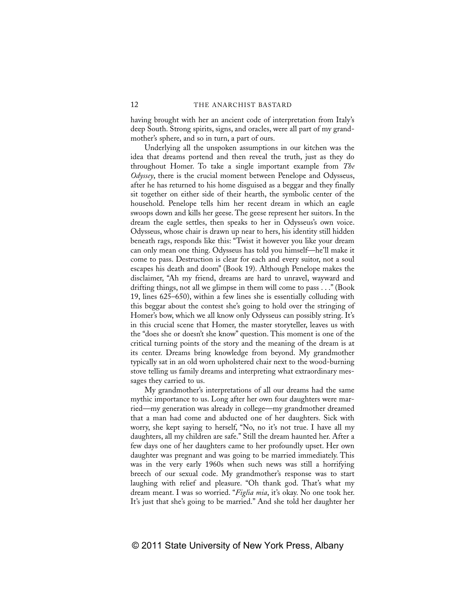having brought with her an ancient code of interpretation from Italy's deep South. Strong spirits, signs, and oracles, were all part of my grandmother's sphere, and so in turn, a part of ours.

Underlying all the unspoken assumptions in our kitchen was the idea that dreams portend and then reveal the truth, just as they do throughout Homer. To take a single important example from *The Odyssey*, there is the crucial moment between Penelope and Odysseus, after he has returned to his home disguised as a beggar and they finally sit together on either side of their hearth, the symbolic center of the household. Penelope tells him her recent dream in which an eagle swoops down and kills her geese. The geese represent her suitors. In the dream the eagle settles, then speaks to her in Odysseus's own voice. Odysseus, whose chair is drawn up near to hers, his identity still hidden beneath rags, responds like this: "Twist it however you like your dream can only mean one thing. Odysseus has told you himself—he'll make it come to pass. Destruction is clear for each and every suitor, not a soul escapes his death and doom" (Book 19). Although Penelope makes the disclaimer, "Ah my friend, dreams are hard to unravel, wayward and drifting things, not all we glimpse in them will come to pass . . ." (Book 19, lines 625–650), within a few lines she is essentially colluding with this beggar about the contest she's going to hold over the stringing of Homer's bow, which we all know only Odysseus can possibly string. It's in this crucial scene that Homer, the master storyteller, leaves us with the "does she or doesn't she know" question. This moment is one of the critical turning points of the story and the meaning of the dream is at its center. Dreams bring knowledge from beyond. My grandmother typically sat in an old worn upholstered chair next to the wood-burning stove telling us family dreams and interpreting what extraordinary messages they carried to us.

My grandmother's interpretations of all our dreams had the same mythic importance to us. Long after her own four daughters were married—my generation was already in college—my grandmother dreamed that a man had come and abducted one of her daughters. Sick with worry, she kept saying to herself, "No, no it's not true. I have all my daughters, all my children are safe." Still the dream haunted her. After a few days one of her daughters came to her profoundly upset. Her own daughter was pregnant and was going to be married immediately. This was in the very early 1960s when such news was still a horrifying breech of our sexual code. My grandmother's response was to start laughing with relief and pleasure. "Oh thank god. That's what my dream meant. I was so worried. "*Figlia mia*, it's okay. No one took her. It's just that she's going to be married." And she told her daughter her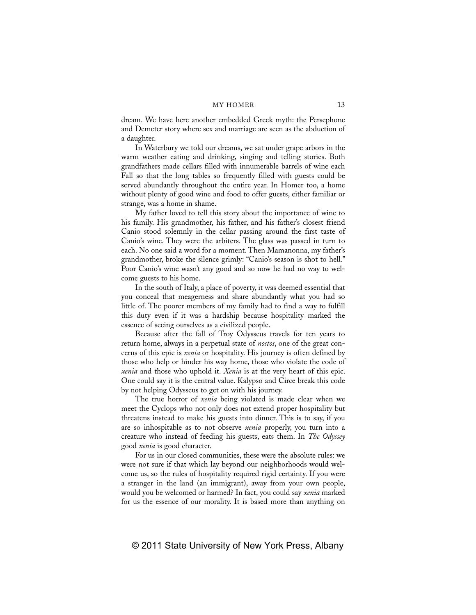dream. We have here another embedded Greek myth: the Persephone and Demeter story where sex and marriage are seen as the abduction of a daughter.

In Waterbury we told our dreams, we sat under grape arbors in the warm weather eating and drinking, singing and telling stories. Both grandfathers made cellars filled with innumerable barrels of wine each Fall so that the long tables so frequently filled with guests could be served abundantly throughout the entire year. In Homer too, a home without plenty of good wine and food to offer guests, either familiar or strange, was a home in shame.

My father loved to tell this story about the importance of wine to his family. His grandmother, his father, and his father's closest friend Canio stood solemnly in the cellar passing around the first taste of Canio's wine. They were the arbiters. The glass was passed in turn to each. No one said a word for a moment. Then Mamanonna, my father's grandmother, broke the silence grimly: "Canio's season is shot to hell." Poor Canio's wine wasn't any good and so now he had no way to welcome guests to his home.

In the south of Italy, a place of poverty, it was deemed essential that you conceal that meagerness and share abundantly what you had so little of. The poorer members of my family had to find a way to fulfill this duty even if it was a hardship because hospitality marked the essence of seeing ourselves as a civilized people.

Because after the fall of Troy Odysseus travels for ten years to return home, always in a perpetual state of *nostos*, one of the great concerns of this epic is *xenia* or hospitality. His journey is often defined by those who help or hinder his way home, those who violate the code of *xenia* and those who uphold it. *Xenia* is at the very heart of this epic. One could say it is the central value. Kalypso and Circe break this code by not helping Odysseus to get on with his journey.

The true horror of *xenia* being violated is made clear when we meet the Cyclops who not only does not extend proper hospitality but threatens instead to make his guests into dinner. This is to say, if you are so inhospitable as to not observe *xenia* properly, you turn into a creature who instead of feeding his guests, eats them. In *The Odyssey* good *xenia* is good character.

For us in our closed communities, these were the absolute rules: we were not sure if that which lay beyond our neighborhoods would welcome us, so the rules of hospitality required rigid certainty. If you were a stranger in the land (an immigrant), away from your own people, would you be welcomed or harmed? In fact, you could say *xenia* marked for us the essence of our morality. It is based more than anything on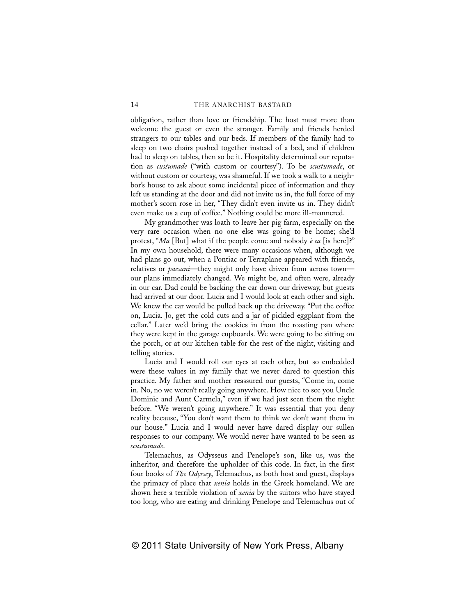obligation, rather than love or friendship. The host must more than welcome the guest or even the stranger. Family and friends herded strangers to our tables and our beds. If members of the family had to sleep on two chairs pushed together instead of a bed, and if children had to sleep on tables, then so be it. Hospitality determined our reputation as *custumade* ("with custom or courtesy"). To be *scustumade*, or without custom or courtesy, was shameful. If we took a walk to a neighbor's house to ask about some incidental piece of information and they left us standing at the door and did not invite us in, the full force of my mother's scorn rose in her, "They didn't even invite us in. They didn't even make us a cup of coffee." Nothing could be more ill-mannered.

My grandmother was loath to leave her pig farm, especially on the very rare occasion when no one else was going to be home; she'd protest, "*Ma* [But] what if the people come and nobody *è ca* [is here]?" In my own household, there were many occasions when, although we had plans go out, when a Pontiac or Terraplane appeared with friends, relatives or *paesani*—they might only have driven from across town our plans immediately changed. We might be, and often were, already in our car. Dad could be backing the car down our driveway, but guests had arrived at our door. Lucia and I would look at each other and sigh. We knew the car would be pulled back up the driveway. "Put the coffee on, Lucia. Jo, get the cold cuts and a jar of pickled eggplant from the cellar." Later we'd bring the cookies in from the roasting pan where they were kept in the garage cupboards. We were going to be sitting on the porch, or at our kitchen table for the rest of the night, visiting and telling stories.

Lucia and I would roll our eyes at each other, but so embedded were these values in my family that we never dared to question this practice. My father and mother reassured our guests, "Come in, come in. No, no we weren't really going anywhere. How nice to see you Uncle Dominic and Aunt Carmela," even if we had just seen them the night before. "We weren't going anywhere." It was essential that you deny reality because, "You don't want them to think we don't want them in our house." Lucia and I would never have dared display our sullen responses to our company. We would never have wanted to be seen as *scustumade*.

Telemachus, as Odysseus and Penelope's son, like us, was the inheritor, and therefore the upholder of this code. In fact, in the first four books of *The Odyssey*, Telemachus, as both host and guest, displays the primacy of place that *xenia* holds in the Greek homeland. We are shown here a terrible violation of *xenia* by the suitors who have stayed too long, who are eating and drinking Penelope and Telemachus out of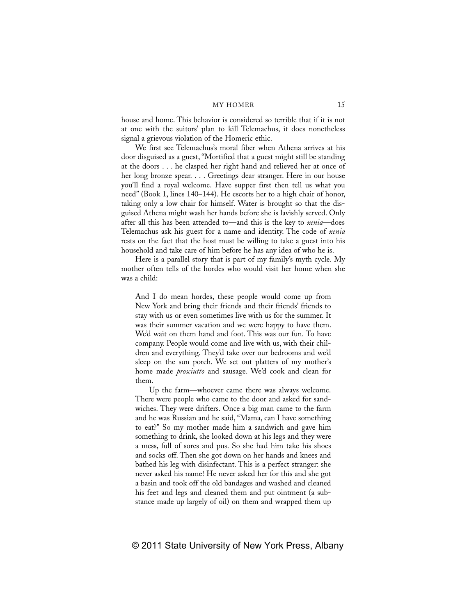house and home. This behavior is considered so terrible that if it is not at one with the suitors' plan to kill Telemachus, it does nonetheless signal a grievous violation of the Homeric ethic.

We first see Telemachus's moral fiber when Athena arrives at his door disguised as a guest, "Mortified that a guest might still be standing at the doors . . . he clasped her right hand and relieved her at once of her long bronze spear. . . . Greetings dear stranger. Here in our house you'll find a royal welcome. Have supper first then tell us what you need" (Book 1, lines 140–144). He escorts her to a high chair of honor, taking only a low chair for himself. Water is brought so that the disguised Athena might wash her hands before she is lavishly served. Only after all this has been attended to—and this is the key to *xenia*—does Telemachus ask his guest for a name and identity. The code of *xenia* rests on the fact that the host must be willing to take a guest into his household and take care of him before he has any idea of who he is.

Here is a parallel story that is part of my family's myth cycle. My mother often tells of the hordes who would visit her home when she was a child:

And I do mean hordes, these people would come up from New York and bring their friends and their friends' friends to stay with us or even sometimes live with us for the summer. It was their summer vacation and we were happy to have them. We'd wait on them hand and foot. This was our fun. To have company. People would come and live with us, with their children and everything. They'd take over our bedrooms and we'd sleep on the sun porch. We set out platters of my mother's home made *prosciutto* and sausage. We'd cook and clean for them.

Up the farm—whoever came there was always welcome. There were people who came to the door and asked for sandwiches. They were drifters. Once a big man came to the farm and he was Russian and he said, "Mama, can I have something to eat?" So my mother made him a sandwich and gave him something to drink, she looked down at his legs and they were a mess, full of sores and pus. So she had him take his shoes and socks off. Then she got down on her hands and knees and bathed his leg with disinfectant. This is a perfect stranger: she never asked his name! He never asked her for this and she got a basin and took off the old bandages and washed and cleaned his feet and legs and cleaned them and put ointment (a substance made up largely of oil) on them and wrapped them up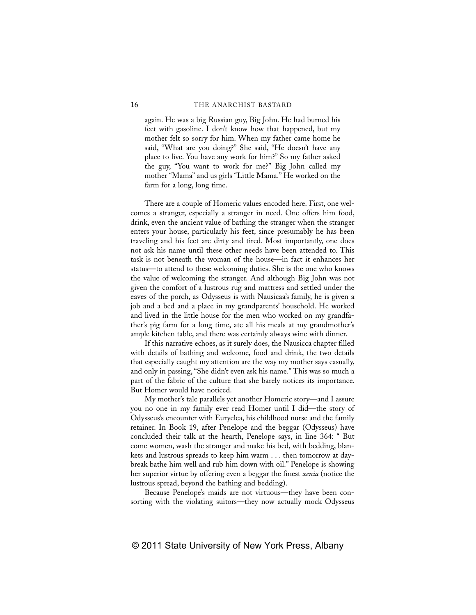again. He was a big Russian guy, Big John. He had burned his feet with gasoline. I don't know how that happened, but my mother felt so sorry for him. When my father came home he said, "What are you doing?" She said, "He doesn't have any place to live. You have any work for him?" So my father asked the guy, "You want to work for me?" Big John called my mother "Mama" and us girls "Little Mama." He worked on the farm for a long, long time.

There are a couple of Homeric values encoded here. First, one welcomes a stranger, especially a stranger in need. One offers him food, drink, even the ancient value of bathing the stranger when the stranger enters your house, particularly his feet, since presumably he has been traveling and his feet are dirty and tired. Most importantly, one does not ask his name until these other needs have been attended to. This task is not beneath the woman of the house—in fact it enhances her status—to attend to these welcoming duties. She is the one who knows the value of welcoming the stranger. And although Big John was not given the comfort of a lustrous rug and mattress and settled under the eaves of the porch, as Odysseus is with Nausicaa's family, he is given a job and a bed and a place in my grandparents' household. He worked and lived in the little house for the men who worked on my grandfather's pig farm for a long time, ate all his meals at my grandmother's ample kitchen table, and there was certainly always wine with dinner.

If this narrative echoes, as it surely does, the Nausicca chapter filled with details of bathing and welcome, food and drink, the two details that especially caught my attention are the way my mother says casually, and only in passing, "She didn't even ask his name." This was so much a part of the fabric of the culture that she barely notices its importance. But Homer would have noticed.

My mother's tale parallels yet another Homeric story—and I assure you no one in my family ever read Homer until I did—the story of Odysseus's encounter with Euryclea, his childhood nurse and the family retainer. In Book 19, after Penelope and the beggar (Odysseus) have concluded their talk at the hearth, Penelope says, in line 364: " But come women, wash the stranger and make his bed, with bedding, blankets and lustrous spreads to keep him warm . . . then tomorrow at daybreak bathe him well and rub him down with oil." Penelope is showing her superior virtue by offering even a beggar the finest *xenia* (notice the lustrous spread, beyond the bathing and bedding).

Because Penelope's maids are not virtuous—they have been consorting with the violating suitors—they now actually mock Odysseus